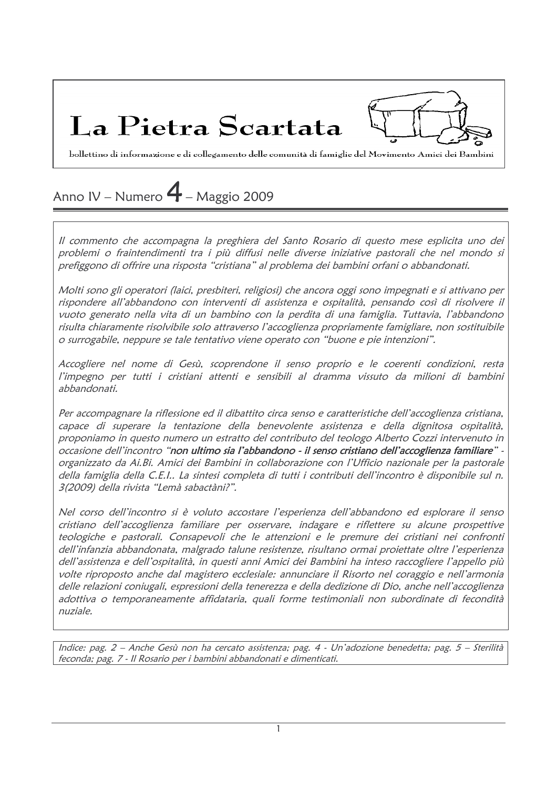La Pietra Scartata

bollettino di informazione e di collegamento delle comunità di famiglie del Movimento Amici dei Bambini

## Anno IV – Numero  $4$  – Maggio 2009

Il commento che accompagna la preghiera del Santo Rosario di questo mese esplicita uno dei problemi o fraintendimenti tra i più diffusi nelle diverse iniziative pastorali che nel mondo si prefiggono di offrire una risposta "cristiana" al problema dei bambini orfani o abbandonati.

Molti sono gli operatori (laici, presbiteri, religiosi) che ancora oggi sono impegnati e si attivano per rispondere all'abbandono con interventi di assistenza e ospitalità, pensando così di risolvere il vuoto generato nella vita di un bambino con la perdita di una famiglia. Tuttavia, l'abbandono risulta chiaramente risolvibile solo attraverso l'accoglienza propriamente famigliare, non sostituibile o surrogabile, neppure se tale tentativo viene operato con "buone e pie intenzioni".

Accogliere nel nome di Gesù, scoprendone il senso proprio e le coerenti condizioni, resta l'impegno per tutti i cristiani attenti e sensibili al dramma vissuto da milioni di bambini abbandonati.

Per accompagnare la riflessione ed il dibattito circa senso e caratteristiche dell'accoglienza cristiana, capace di superare la tentazione della benevolente assistenza e della dignitosa ospitalità, proponiamo in questo numero un estratto del contributo del teologo Alberto Cozzi intervenuto in occasione dell'incontro "non ultimo sia l'abbandono - il senso cristiano dell'accoglienza familiare" organizzato da Ai.Bi. Amici dei Bambini in collaborazione con l'Ufficio nazionale per la pastorale della famiglia della C.E.I.. La sintesi completa di tutti i contributi dell'incontro è disponibile sul n. 3(2009) della rivista "Lemà sabactàni?".

Nel corso dell'incontro si è voluto accostare l'esperienza dell'abbandono ed esplorare il senso cristiano dell'accoglienza familiare per osservare, indagare e riflettere su alcune prospettive teologiche e pastorali. Consapevoli che le attenzioni e le premure dei cristiani nei confronti dell'infanzia abbandonata, malgrado talune resistenze, risultano ormai proiettate oltre l'esperienza dell'assistenza e dell'ospitalità, in questi anni Amici dei Bambini ha inteso raccogliere l'appello più volte riproposto anche dal magistero ecclesiale: annunciare il Risorto nel coraggio e nell'armonia delle relazioni coniugali, espressioni della tenerezza e della dedizione di Dio, anche nell'accoglienza adottiva o temporaneamente affidataria, quali forme testimoniali non subordinate di fecondità nuziale.

Indice: pag. 2 - Anche Gesù non ha cercato assistenza; pag. 4 - Un'adozione benedetta; pag. 5 - Sterilità feconda; pag. 7 - Il Rosario per i bambini abbandonati e dimenticati.

 $\mathbf{1}$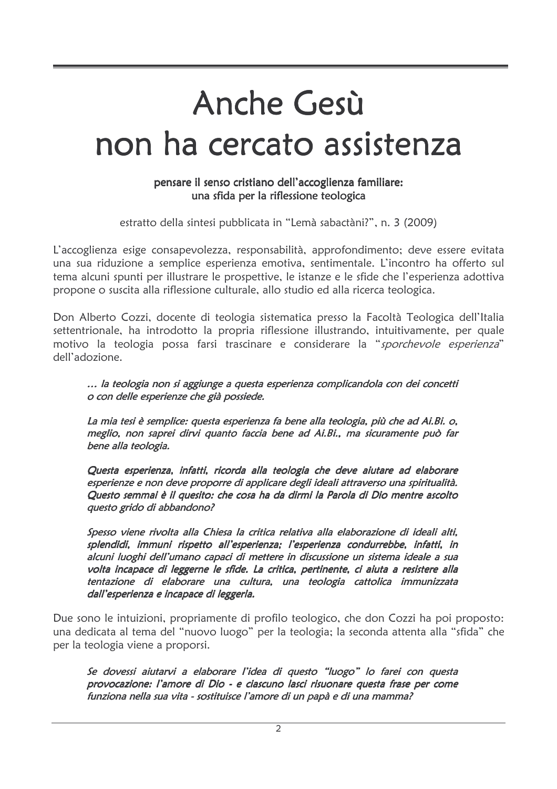# Anche Gesù non ha cercato assistenza

#### pensare il senso cristiano dell'accoglienza familiare: una sfida per la riflessione teologica

estratto della sintesi pubblicata in "Lemà sabactàni?", n. 3 (2009)

L'accoglienza esige consapevolezza, responsabilità, approfondimento; deve essere evitata una sua riduzione a semplice esperienza emotiva, sentimentale. L'incontro ha offerto sul tema alcuni spunti per illustrare le prospettive, le istanze e le sfide che l'esperienza adottiva propone o suscita alla riflessione culturale, allo studio ed alla ricerca teologica.

Don Alberto Cozzi, docente di teologia sistematica presso la Facoltà Teologica dell'Italia settentrionale, ha introdotto la propria riflessione illustrando, intuitivamente, per quale motivo la teologia possa farsi trascinare e considerare la "sporchevole esperienza" dell'adozione

... la teologia non si aggiunge a questa esperienza complicandola con dei concetti o con delle esperienze che già possiede.

La mia tesi è semplice: questa esperienza fa bene alla teologia, più che ad Ai.Bi. o, meglio, non saprei dirvi quanto faccia bene ad Ai.Bi., ma sicuramente può far bene alla teologia.

Questa esperienza, infatti, ricorda alla teologia che deve aiutare ad elaborare esperienze e non deve proporre di applicare degli ideali attraverso una spiritualità. Questo semmai è il quesito: che cosa ha da dirmi la Parola di Dio mentre ascolto questo grido di abbandono?

Spesso viene rivolta alla Chiesa la critica relativa alla elaborazione di ideali alti, splendidi, immuni rispetto all'esperienza; l'esperienza condurrebbe, infatti, in alcuni luoghi dell'umano capaci di mettere in discussione un sistema ideale a sua volta incapace di leggerne le sfide. La critica, pertinente, ci aiuta a resistere alla tentazione di elaborare una cultura, una teologia cattolica immunizzata dall'esperienza e incapace di leggerla.

Due sono le intuizioni, propriamente di profilo teologico, che don Cozzi ha poi proposto: una dedicata al tema del "nuovo luogo" per la teologia; la seconda attenta alla "sfida" che per la teologia viene a proporsi.

Se dovessi aiutarvi a elaborare l'idea di questo "luogo" lo farei con questa provocazione: l'amore di Dio - e ciascuno lasci risuonare questa frase per come funziona nella sua vita - sostituisce l'amore di un papà e di una mamma?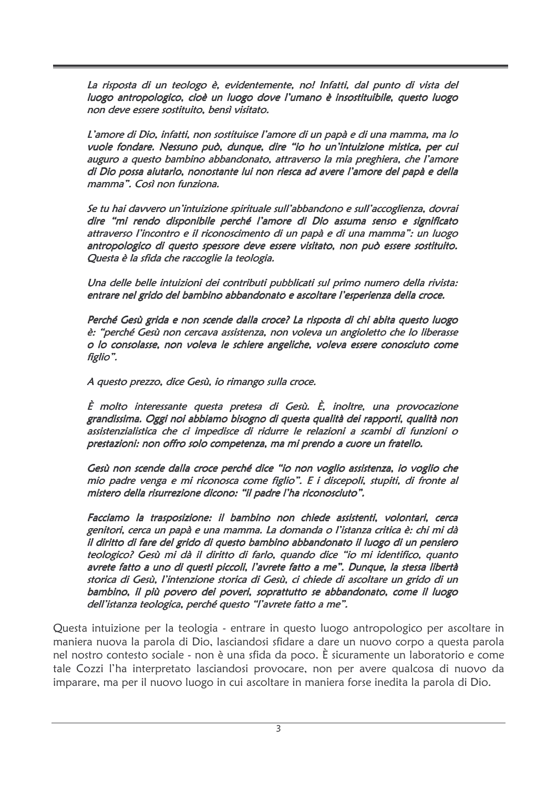La risposta di un teologo è, evidentemente, no! Infatti, dal punto di vista del luogo antropologico, cioè un luogo dove l'umano è insostituibile, questo luogo non deve essere sostituito, bensì visitato.

L'amore di Dio, infatti, non sostituisce l'amore di un papà e di una mamma, ma lo vuole fondare. Nessuno può, dunque, dire "io ho un'intuizione mistica, per cui auguro a questo bambino abbandonato, attraverso la mia preghiera, che l'amore di Dio possa aiutarlo, nonostante lui non riesca ad avere l'amore del papà e della mamma". Così non funziona.

Se tu hai davvero un'intuizione spirituale sull'abbandono e sull'accoglienza, dovrai dire "mi rendo disponibile perché l'amore di Dio assuma senso e significato attraverso l'incontro e il riconoscimento di un papà e di una mamma": un luogo antropologico di questo spessore deve essere visitato, non può essere sostituito. Questa è la sfida che raccoglie la teologia.

Una delle belle intuizioni dei contributi pubblicati sul primo numero della rivista: entrare nel grido del bambino abbandonato e ascoltare l'esperienza della croce.

Perché Gesù grida e non scende dalla croce? La risposta di chi abita questo luogo è: "perché Gesù non cercava assistenza, non voleva un angioletto che lo liberasse o lo consolasse, non voleva le schiere angeliche, voleva essere conosciuto come figlio".

A questo prezzo, dice Gesù, io rimango sulla croce.

 $\hat{E}$  molto interessante questa pretesa di Gesù.  $\hat{E}$ , inoltre, una provocazione grandissima. Oggi noi abbiamo bisogno di questa qualità dei rapporti, qualità non assistenzialistica che ci impedisce di ridurre le relazioni a scambi di funzioni o prestazioni: non offro solo competenza, ma mi prendo a cuore un fratello.

Gesù non scende dalla croce perché dice "io non voglio assistenza, io voglio che mio padre venga e mi riconosca come figlio". E i discepoli, stupiti, di fronte al mistero della risurrezione dicono: "il padre l'ha riconosciuto".

Facciamo la trasposizione: il bambino non chiede assistenti, volontari, cerca genitori, cerca un papà e una mamma. La domanda o l'istanza critica è: chi mi dà il diritto di fare del grido di questo bambino abbandonato il luogo di un pensiero teologico? Gesù mi dà il diritto di farlo, quando dice "io mi identifico, quanto avrete fatto a uno di questi piccoli, l'avrete fatto a me". Dunque, la stessa libertà storica di Gesù, l'intenzione storica di Gesù, ci chiede di ascoltare un grido di un bambino, il più povero dei poveri, soprattutto se abbandonato, come il luogo dell'istanza teologica, perché questo "l'avrete fatto a me".

Questa intuizione per la teologia - entrare in questo luogo antropologico per ascoltare in maniera nuova la parola di Dio, lasciandosi sfidare a dare un nuovo corpo a questa parola nel nostro contesto sociale - non è una sfida da poco. È sicuramente un laboratorio e come tale Cozzi l'ha interpretato lasciandosi provocare, non per avere qualcosa di nuovo da imparare, ma per il nuovo luogo in cui ascoltare in maniera forse inedita la parola di Dio.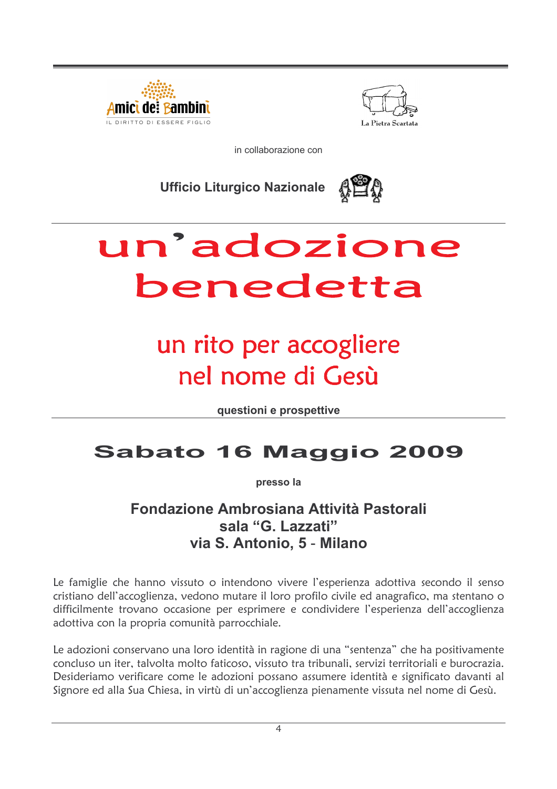



in collaborazione con

**Ufficio Liturgico Nazionale** 



# un'adozione benedetta

## un rito per accogliere nel nome di Gesù

questioni e prospettive

## **Sabato 16 Maggio 2009**

presso la

#### Fondazione Ambrosiana Attività Pastorali sala "G. Lazzati" via S. Antonio, 5 - Milano

Le famiglie che hanno vissuto o intendono vivere l'esperienza adottiva secondo il senso cristiano dell'accoglienza, vedono mutare il loro profilo civile ed anagrafico, ma stentano o difficilmente trovano occasione per esprimere e condividere l'esperienza dell'accoglienza adottiva con la propria comunità parrocchiale.

Le adozioni conservano una loro identità in ragione di una "sentenza" che ha positivamente concluso un iter, talvolta molto faticoso, vissuto tra tribunali, servizi territoriali e burocrazia. Desideriamo verificare come le adozioni possano assumere identità e significato davanti al Signore ed alla Sua Chiesa, in virtù di un'accoglienza pienamente vissuta nel nome di Gesù.

 $\overline{4}$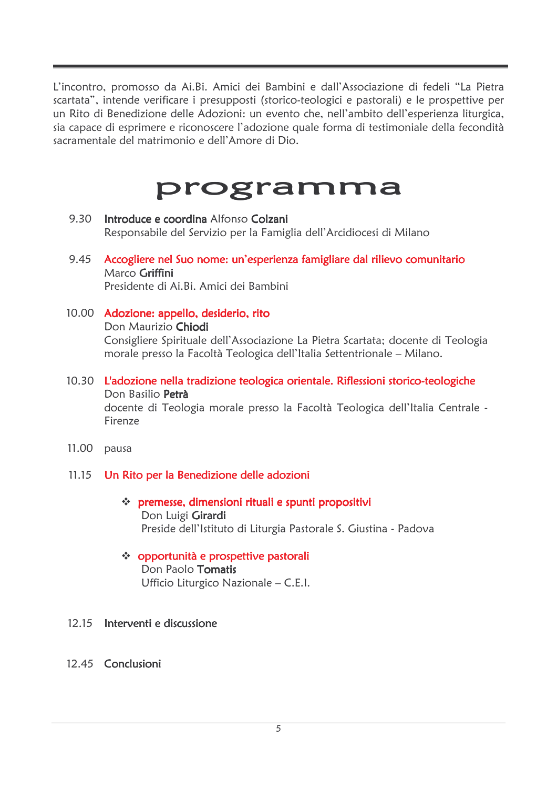L'incontro, promosso da Ai.Bi. Amici dei Bambini e dall'Associazione di fedeli "La Pietra scartata", intende verificare i presupposti (storico-teologici e pastorali) e le prospettive per un Rito di Benedizione delle Adozioni: un evento che, nell'ambito dell'esperienza liturgica, sia capace di esprimere e riconoscere l'adozione quale forma di testimoniale della fecondità sacramentale del matrimonio e dell'Amore di Dio.

## programma

- 9.30 Introduce e coordina Alfonso Colzani Responsabile del Servizio per la Famiglia dell'Arcidiocesi di Milano
- 9.45 Accogliere nel Suo nome: un'esperienza famigliare dal rilievo comunitario Marco Griffini Presidente di Ai.Bi. Amici dei Bambini
- 10.00 Adozione: appello, desiderio, rito Don Maurizio Chiodi Consigliere Spirituale dell'Associazione La Pietra Scartata; docente di Teologia morale presso la Facoltà Teologica dell'Italia Settentrionale – Milano.
- 10.30 L'adozione nella tradizione teologica orientale. Riflessioni storico-teologiche Don Basilio Petrà docente di Teologia morale presso la Facoltà Teologica dell'Italia Centrale -Firenze
- 11.00 pausa

#### 11.15 Un Rito per la Benedizione delle adozioni

- \* premesse, dimensioni rituali e spunti propositivi Don Luigi Girardi Preside dell'Istituto di Liturgia Pastorale S. Giustina - Padova
- ❖ opportunità e prospettive pastorali

Don Paolo Tomatis Ufficio Liturgico Nazionale - C.E.I.

#### 12.15 Interventi e discussione

#### 12.45 Conclusioni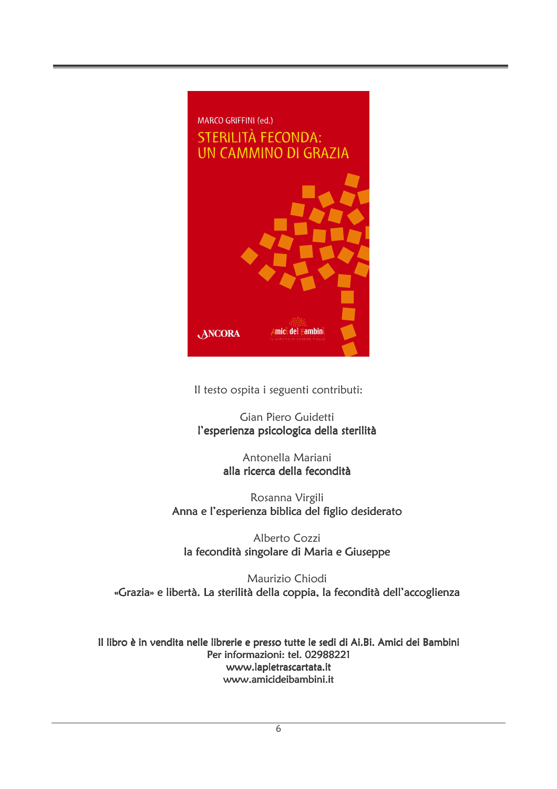

Il testo ospita i seguenti contributi:

Gian Piero Guidetti l'esperienza psicologica della sterilità

> Antonella Mariani alla ricerca della fecondità

Rosanna Virgili Anna e l'esperienza biblica del figlio desiderato

Alberto Cozzi la fecondità singolare di Maria e Giuseppe

Maurizio Chiodi «Grazia» e libertà. La sterilità della coppia, la fecondità dell'accoglienza

Il libro è in vendita nelle librerie e presso tutte le sedi di Ai.Bi. Amici dei Bambini Per informazioni: tel. 02988221 www.lapietrascartata.it www.amicideibambini.it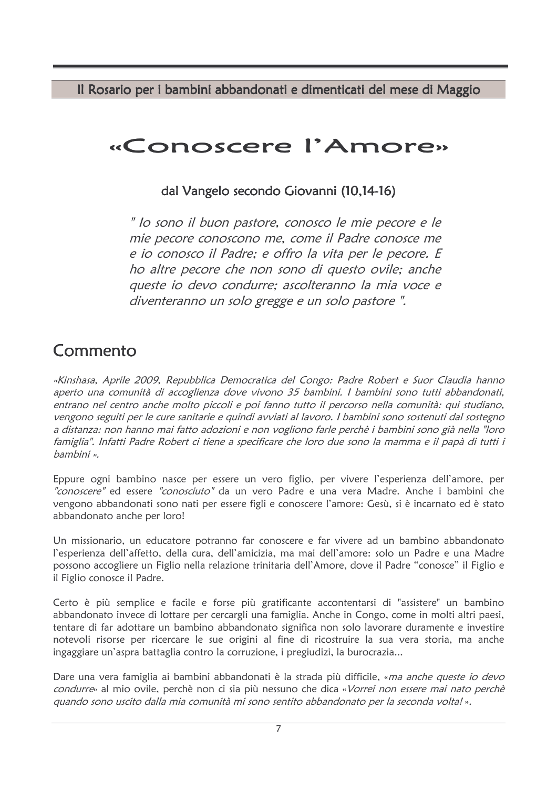Il Rosario per i bambini abbandonati e dimenticati del mese di Maggio

## «Conoscere l'Amore»

#### dal Vangelo secondo Giovanni (10,14-16)

" lo sono il buon pastore, conosco le mie pecore e le mie pecore conoscono me, come il Padre conosce me e io conosco il Padre; e offro la vita per le pecore. E ho altre pecore che non sono di questo ovile; anche queste io devo condurre; ascolteranno la mia voce e diventeranno un solo gregge e un solo pastore".

## Commento

«Kinshasa, Aprile 2009, Repubblica Democratica del Congo: Padre Robert e Suor Claudia hanno aperto una comunità di accoglienza dove vivono 35 bambini. I bambini sono tutti abbandonati, entrano nel centro anche molto piccoli e poi fanno tutto il percorso nella comunità: qui studiano, vengono seguiti per le cure sanitarie e quindi avviati al lavoro. I bambini sono sostenuti dal sostegno a distanza: non hanno mai fatto adozioni e non vogliono farle perchè i bambini sono già nella "loro famiglia". Infatti Padre Robert ci tiene a specificare che loro due sono la mamma e il papà di tutti i bambini ».

Eppure ogni bambino nasce per essere un vero figlio, per vivere l'esperienza dell'amore, per "conoscere" ed essere "conosciuto" da un vero Padre e una vera Madre. Anche i bambini che vengono abbandonati sono nati per essere figli e conoscere l'amore: Gesù, si è incarnato ed è stato abbandonato anche per loro!

Un missionario, un educatore potranno far conoscere e far vivere ad un bambino abbandonato l'esperienza dell'affetto, della cura, dell'amicizia, ma mai dell'amore: solo un Padre e una Madre possono accogliere un Figlio nella relazione trinitaria dell'Amore, dove il Padre "conosce" il Figlio e il Figlio conosce il Padre.

Certo è più semplice e facile e forse più gratificante accontentarsi di "assistere" un bambino abbandonato invece di lottare per cercargli una famiglia. Anche in Congo, come in molti altri paesi, tentare di far adottare un bambino abbandonato significa non solo lavorare duramente e investire notevoli risorse per ricercare le sue origini al fine di ricostruire la sua vera storia, ma anche ingaggiare un'aspra battaglia contro la corruzione, i pregiudizi, la burocrazia...

Dare una vera famiglia ai bambini abbandonati è la strada più difficile, «ma anche queste io devo condurre» al mio ovile, perchè non ci sia più nessuno che dica «Vorrei non essere mai nato perchè quando sono uscito dalla mia comunità mi sono sentito abbandonato per la seconda volta!».